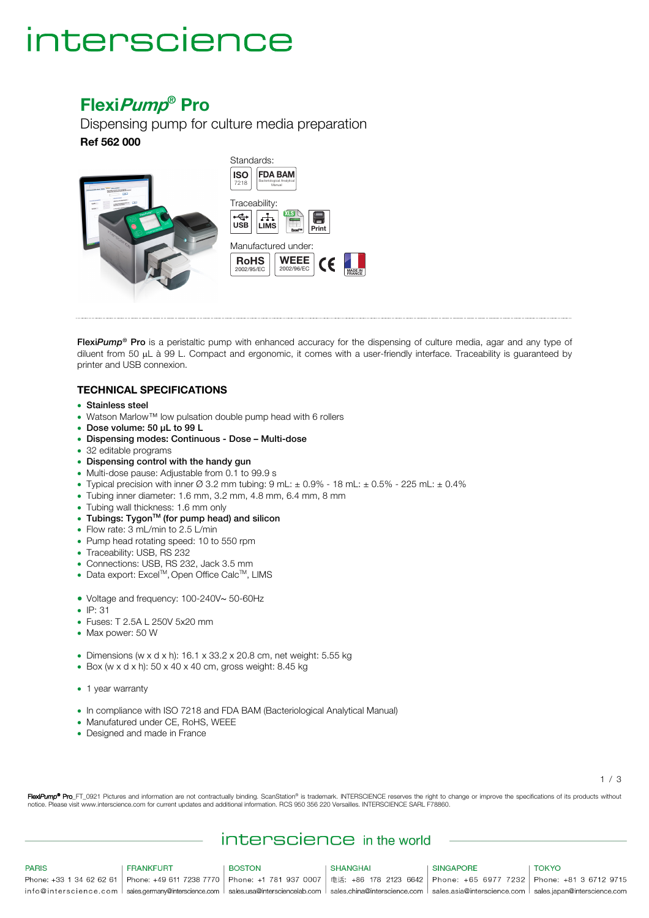# interscience

### **FlexiPump® Pro**

Dispensing pump for culture media preparation **Ref 562 000**



Flexi*Pump*® Pro is a peristaltic pump with enhanced accuracy for the dispensing of culture media, agar and any type of diluent from 50 µL à 99 L. Compact and ergonomic, it comes with a user-friendly interface. Traceability is guaranteed by printer and USB connexion.

#### **TECHNICAL SPECIFICATIONS**

- Stainless steel
- Watson Marlow™ low pulsation double pump head with 6 rollers
- Dose volume: 50 µL to 99 L
- Dispensing modes: Continuous Dose Multi-dose
- 32 editable programs
- Dispensing control with the handy gun
- Multi-dose pause: Adjustable from 0.1 to 99.9 s
- Typical precision with inner Ø 3.2 mm tubing: 9 mL:  $\pm$  0.9% 18 mL:  $\pm$  0.5% 225 mL:  $\pm$  0.4%
- Tubing inner diameter: 1.6 mm, 3.2 mm, 4.8 mm, 6.4 mm, 8 mm
- Tubing wall thickness: 1.6 mm only
- Tubings: TygonTM (for pump head) and silicon
- Flow rate: 3 mL/min to 2.5 L/min
- Pump head rotating speed: 10 to 550 rpm
- Traceability: USB, RS 232
- Connections: USB, RS 232, Jack 3.5 mm
- Data export: Excel<sup>™</sup>, Open Office Calc<sup>™</sup>, LIMS
- Voltage and frequency: 100-240V∼ 50-60Hz
- IP: 31
- Fuses: T 2.5A L 250V 5x20 mm
- Max power: 50 W
- Dimensions (w x d x h):  $16.1 \times 33.2 \times 20.8$  cm, net weight:  $5.55$  kg
- Box (w x d x h):  $50 \times 40 \times 40$  cm, gross weight:  $8.45$  kg
- 1 year warranty
- In compliance with ISO 7218 and FDA BAM (Bacteriological Analytical Manual)
- Manufatured under CE, RoHS, WEEE
- Designed and made in France

1 / 3

FlexiPump<sup>®</sup> Pro\_FT\_0921 Pictures and information are not contractually binding. ScanStation® is trademark. INTERSCIENCE reserves the right to change or improve the specifications of its products without notice. Please visit www.interscience.com for current updates and additional information. RCS 950 356 220 Versailles. INTERSCIENCE SARL F78860.

### interscience in the world

| <b>PARIS</b> | FRANKFURT | <b>BOSTON</b>                                                                                                                                                            | SHANGHAI | SINGAPORE | TOKYO |
|--------------|-----------|--------------------------------------------------------------------------------------------------------------------------------------------------------------------------|----------|-----------|-------|
|              |           | Phone: +33 1 34 62 62 61   Phone: +49 611 7238 7770   Phone: +1 781 937 0007   电话: +86 178 2123 6642   Phone: +65 6977 7232   Phone: +81 3 6712 9715                     |          |           |       |
|              |           | info@interscience.com Sales.germanv@interscience.com Sales.usa@intersciencelab.com Sales.china@interscience.com Sales.asia@interscience.com Sales.japan@interscience.com |          |           |       |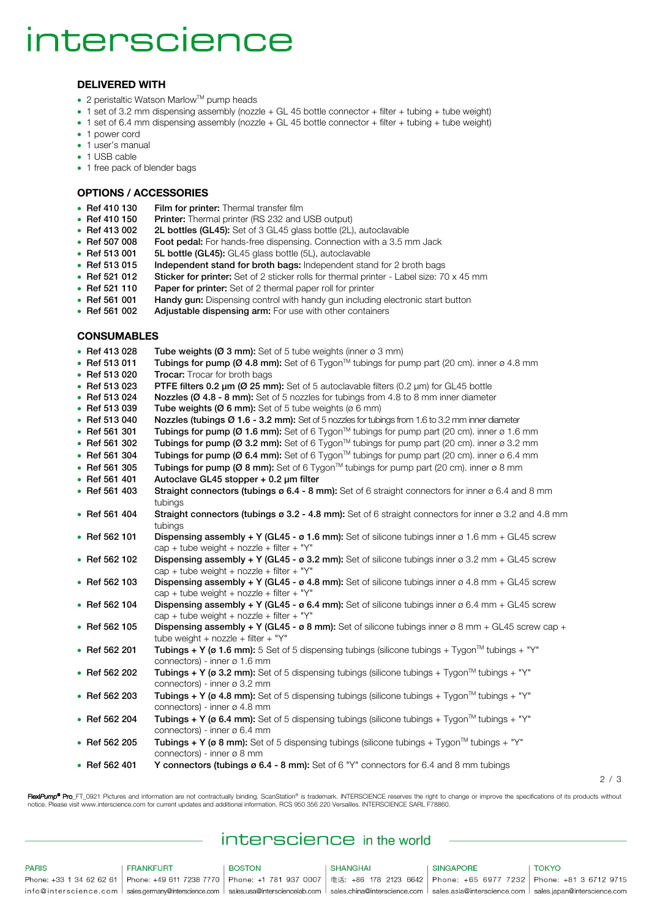# interscience

#### **DELIVERED WITH**

- 2 peristaltic Watson Marlow<sup>™</sup> pump heads
- 1 set of 3.2 mm dispensing assembly (nozzle + GL 45 bottle connector + filter + tubing + tube weight)
- 1 set of 6.4 mm dispensing assembly (nozzle + GL 45 bottle connector + filter + tubing + tube weight)
- 1 power cord
- 1 user's manual
- 1 USB cable
- 1 free pack of blender bags

#### **OPTIONS / ACCESSORIES**

- Ref 410 130 Film for printer: Thermal transfer film
- Ref 410 150 Printer: Thermal printer (RS 232 and USB output)
- Ref 413 002 2L bottles (GL45): Set of 3 GL45 glass bottle (2L), autoclavable
- Ref 507 008 Foot pedal: For hands-free dispensing. Connection with a 3.5 mm Jack
- Ref 513 001 5L bottle (GL45): GL45 glass bottle (5L), autoclavable
- Ref 513 015 Independent stand for broth bags: Independent stand for 2 broth bags
- Ref 521 012 Sticker for printer: Set of 2 sticker rolls for thermal printer Label size: 70 x 45 mm
- Ref 521 110 Paper for printer: Set of 2 thermal paper roll for printer
- Ref 561 001 Handy gun: Dispensing control with handy gun including electronic start button
- Ref 561 002 Adjustable dispensing arm: For use with other containers

#### **CONSUMABLES**

- Ref 413 028 Tube weights ( $Ø$  3 mm): Set of 5 tube weights (inner  $Ø$  3 mm)
- Ref 513 011 Tubings for pump (Ø 4.8 mm): Set of 6 Tygon<sup>TM</sup> tubings for pump part (20 cm). inner ø 4.8 mm<br>• Ref 513 020 Trocar: Trocar for broth bags
- **Trocar:** Trocar for broth bags
- Ref 513 023 PTFE filters 0.2 um (Ø 25 mm): Set of 5 autoclavable filters (0.2 um) for GL45 bottle
- Ref 513 024 Nozzles (Ø 4.8 8 mm): Set of 5 nozzles for tubings from 4.8 to 8 mm inner diameter
- Ref 513 039 Tube weights  $(Ø 6 mm)$ : Set of 5 tube weights  $(Ø 6 mm)$
- Ref 513 040 Nozzles (tubings Ø 1.6 3.2 mm): Set of 5 nozzles for tubings from 1.6 to 3.2 mm inner diameter
- Ref 561 301 Tubings for pump (Ø 1.6 mm): Set of 6 Tygon™ tubings for pump part (20 cm). inner ø 1.6 mm
- Ref 561 302 Tubings for pump (Ø 3.2 mm): Set of 6 Tygon<sup>TM</sup> tubings for pump part (20 cm). inner ø 3.2 mm
- Ref 561 304 Tubings for pump (Ø 6.4 mm): Set of 6 Tygon<sup>TM</sup> tubings for pump part (20 cm). inner ø 6.4 mm
- Ref 561 305 Tubings for pump (Ø 8 mm): Set of 6 Tygon<sup>™</sup> tubings for pump part (20 cm). inner ø 8 mm<br>• Ref 561 401 Autoclave GL45 stopper + 0.2 um filter
- Autoclave GL45 stopper  $+$  0.2 µm filter
- Ref 561 403 Straight connectors (tubings  $\varphi$  6.4 8 mm): Set of 6 straight connectors for inner  $\varphi$  6.4 and 8 mm tubings
- Ref 561 404 Straight connectors (tubings ø 3.2 4.8 mm): Set of 6 straight connectors for inner ø 3.2 and 4.8 mm tubings
- Ref 562 101 Dispensing assembly + Y (GL45 ø 1.6 mm): Set of silicone tubings inner ø 1.6 mm + GL45 screw  $\text{cap} + \text{tube}$  weight + nozzle + filter + "Y"
- Ref 562 102 Dispensing assembly  $+$  Y (GL45 ø 3.2 mm): Set of silicone tubings inner ø 3.2 mm + GL45 screw  $\text{cap} + \text{tube}$  weight + nozzle + filter + "Y"
- Ref 562 103 Dispensing assembly  $+$  Y (GL45 ø 4.8 mm): Set of silicone tubings inner ø 4.8 mm + GL45 screw  $cap + tube$  weight + nozzle + filter + "Y"
- Ref 562 104 Dispensing assembly + Y (GL45 ø 6.4 mm): Set of silicone tubings inner ø 6.4 mm + GL45 screw  $\cos + \text{tube weight} + \text{nozz} + \text{filter} + "Y"$
- Ref 562 105 Dispensing assembly + Y (GL45 ø 8 mm): Set of silicone tubings inner ø 8 mm + GL45 screw cap + tube weight  $+$  nozzle  $+$  filter  $+$  "Y"
- Ref 562 201 Tubings + Y (ø 1.6 mm): 5 Set of 5 dispensing tubings (silicone tubings + Tygon<sup>TM</sup> tubings + "Y" connectors) - inner ø 1.6 mm
- Ref 562 202 Tubings + Y (ø 3.2 mm): Set of 5 dispensing tubings (silicone tubings + Tygon<sup>™</sup> tubings + "Y" connectors) - inner ø 3.2 mm
- Ref 562 203 Tubings + Y (ø 4.8 mm): Set of 5 dispensing tubings (silicone tubings + Tygon<sup>™</sup> tubings + "Y" connectors) - inner ø 4.8 mm
- Ref 562 204 Tubings + Y (ø 6.4 mm): Set of 5 dispensing tubings (silicone tubings + Tygon<sup>TM</sup> tubings + "Y" connectors) - inner ø 6.4 mm
- Ref 562 205 Tubings + Y ( $\sigma$  8 mm): Set of 5 dispensing tubings (silicone tubings + Tygon<sup>™</sup> tubings + "Y" connectors) - inner ø 8 mm
- Ref 562 401 Y connectors (tubings ø 6.4 8 mm): Set of 6 "Y" connectors for 6.4 and 8 mm tubings

2 / 3

FlexiPump<sup>®</sup> Pro\_FT\_0921 Pictures and information are not contractually binding. ScanStation® is trademark. INTERSCIENCE reserves the right to change or improve the specifications of its products without notice. Please visit www.interscience.com for current updates and additional information. RCS 950 356 220 Versailles. INTERSCIENCE SARL F78860.

### interscience in the world

**PARIS FRANKFURT BOSTON SHANGHAI SINGAPORE TOKYO** Phone: +33 1 34 62 62 61 Phone: +49 611 7238 7770 Phone: +1 781 937 0007 弗话: +86 178 2123 6642 Phone: +65 6977 7232 Phone: +81 3 6712 9715 info@interscience.com sales.germany@interscience.com sales.usa@intersciencelab.com sales.china@interscience.com sales.asia@interscience.com sales.japan@interscience.com